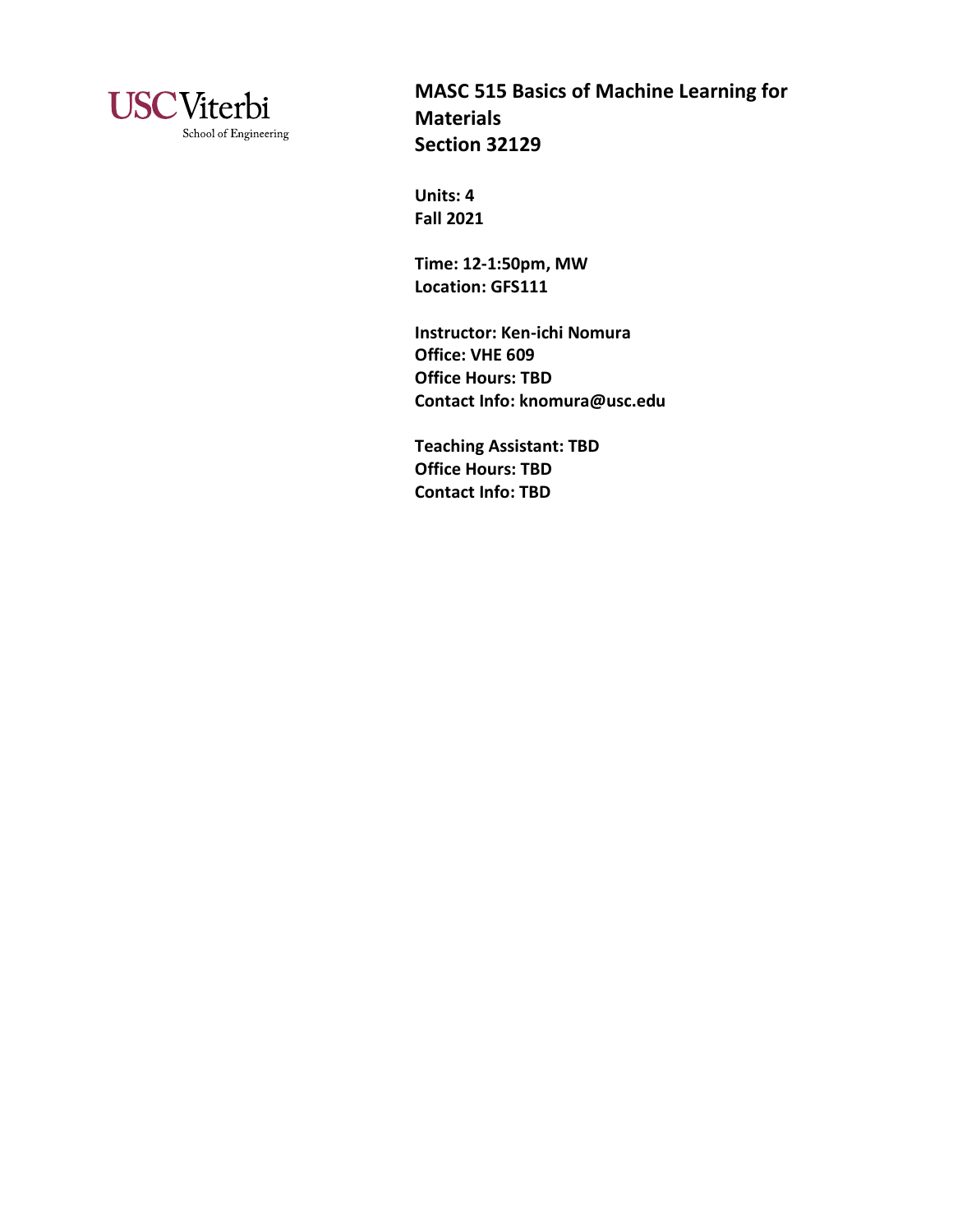

**MASC 515 Basics of Machine Learning for Materials Section 32129** 

**Units: 4 Fall 2021**

**Time: 12-1:50pm, MW Location: GFS111**

**Instructor: Ken-ichi Nomura Office: VHE 609 Office Hours: TBD Contact Info: knomura@usc.edu**

**Teaching Assistant: TBD Office Hours: TBD Contact Info: TBD**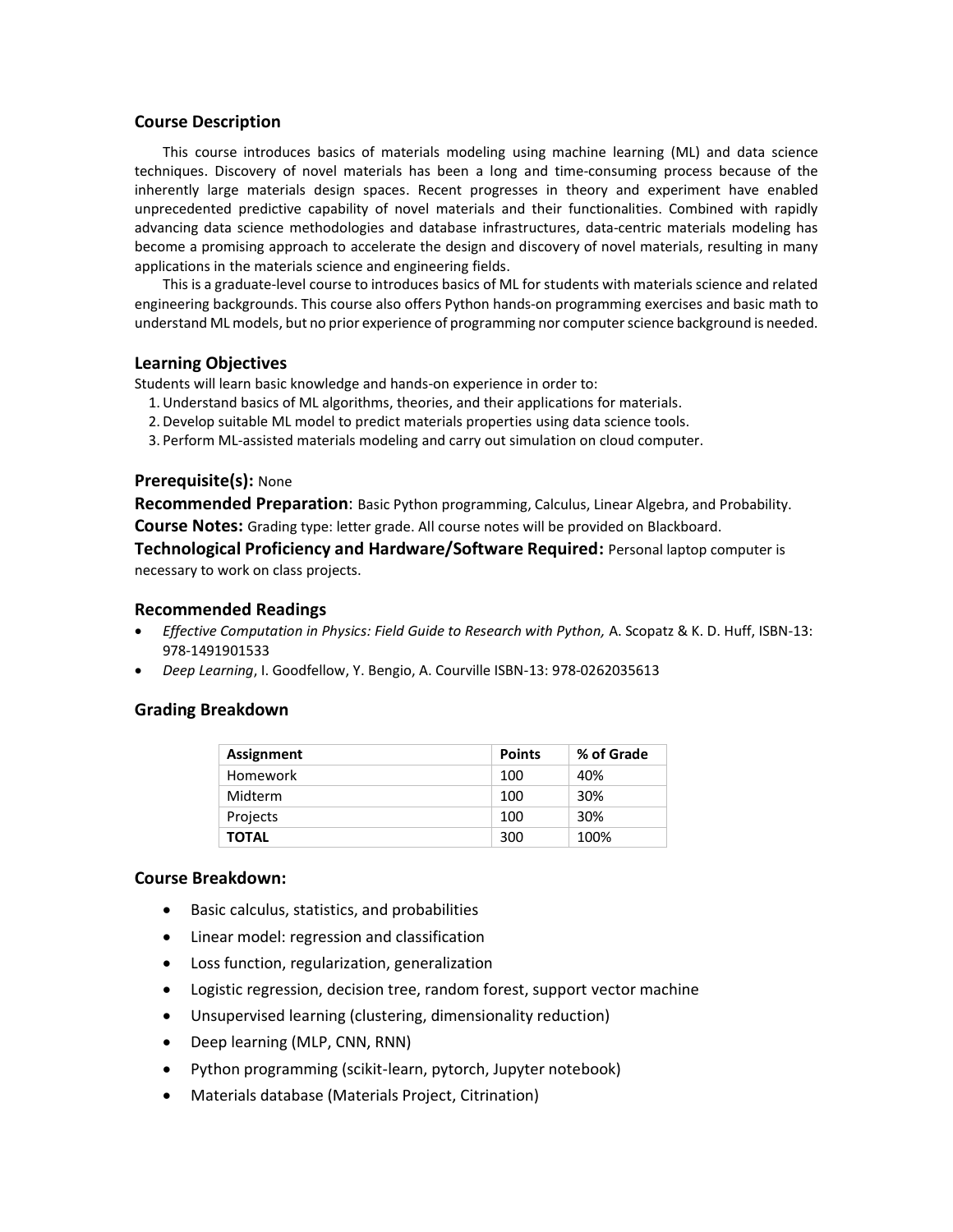#### **Course Description**

This course introduces basics of materials modeling using machine learning (ML) and data science techniques. Discovery of novel materials has been a long and time-consuming process because of the inherently large materials design spaces. Recent progresses in theory and experiment have enabled unprecedented predictive capability of novel materials and their functionalities. Combined with rapidly advancing data science methodologies and database infrastructures, data-centric materials modeling has become a promising approach to accelerate the design and discovery of novel materials, resulting in many applications in the materials science and engineering fields.

This is a graduate-level course to introduces basics of ML for students with materials science and related engineering backgrounds. This course also offers Python hands-on programming exercises and basic math to understand ML models, but no prior experience of programming nor computer science background is needed.

### **Learning Objectives**

Students will learn basic knowledge and hands-on experience in order to:

- 1.Understand basics of ML algorithms, theories, and their applications for materials.
- 2.Develop suitable ML model to predict materials properties using data science tools.
- 3. Perform ML-assisted materials modeling and carry out simulation on cloud computer.

### **Prerequisite(s):** None

**Recommended Preparation**: Basic Python programming, Calculus, Linear Algebra, and Probability. **Course Notes:** Grading type: letter grade. All course notes will be provided on Blackboard.

**Technological Proficiency and Hardware/Software Required:** Personal laptop computer is necessary to work on class projects.

## **Recommended Readings**

- *Effective Computation in Physics: Field Guide to Research with Python,* A. Scopatz & K. D. Huff, ISBN-13: 978-1491901533
- *Deep Learning*, I. Goodfellow, Y. Bengio, A. Courville ISBN-13: 978-0262035613

# **Grading Breakdown**

| <b>Assignment</b> | <b>Points</b> | % of Grade |
|-------------------|---------------|------------|
| Homework          | 100           | 40%        |
| Midterm           | 100           | 30%        |
| Projects          | 100           | 30%        |
| <b>TOTAL</b>      | 300           | 100%       |

### **Course Breakdown:**

- Basic calculus, statistics, and probabilities
- Linear model: regression and classification
- Loss function, regularization, generalization
- Logistic regression, decision tree, random forest, support vector machine
- Unsupervised learning (clustering, dimensionality reduction)
- Deep learning (MLP, CNN, RNN)
- Python programming (scikit-learn, pytorch, Jupyter notebook)
- Materials database (Materials Project, Citrination)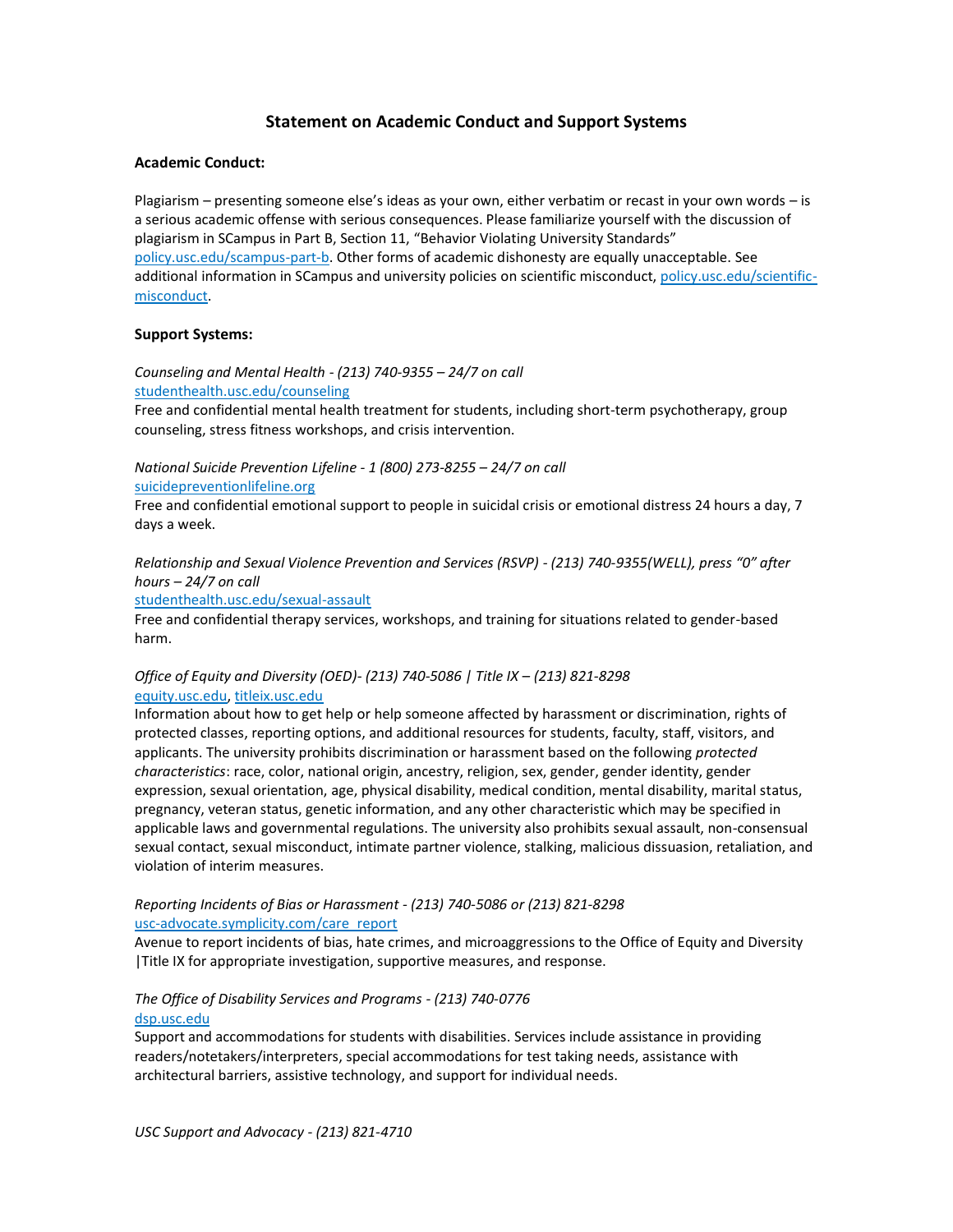# **Statement on Academic Conduct and Support Systems**

### **Academic Conduct:**

Plagiarism – presenting someone else's ideas as your own, either verbatim or recast in your own words – is a serious academic offense with serious consequences. Please familiarize yourself with the discussion of plagiarism in SCampus in Part B, Section 11, "Behavior Violating University Standards" [policy.usc.edu/scampus-part-b.](https://policy.usc.edu/scampus-part-b/) Other forms of academic dishonesty are equally unacceptable. See additional information in SCampus and university policies on scientific misconduct[, policy.usc.edu/scientific](http://policy.usc.edu/scientific-misconduct)[misconduct.](http://policy.usc.edu/scientific-misconduct)

### **Support Systems:**

*Counseling and Mental Health - (213) 740-9355 – 24/7 on call* [studenthealth.usc.edu/counseling](https://studenthealth.usc.edu/counseling/)

Free and confidential mental health treatment for students, including short-term psychotherapy, group counseling, stress fitness workshops, and crisis intervention.

*National Suicide Prevention Lifeline - 1 (800) 273-8255 – 24/7 on call* [suicidepreventionlifeline.org](http://www.suicidepreventionlifeline.org/)

Free and confidential emotional support to people in suicidal crisis or emotional distress 24 hours a day, 7 days a week.

*Relationship and Sexual Violence Prevention and Services (RSVP) - (213) 740-9355(WELL), press "0" after hours – 24/7 on call*

[studenthealth.usc.edu/sexual-assault](https://studenthealth.usc.edu/sexual-assault/)

Free and confidential therapy services, workshops, and training for situations related to gender-based har[m.](https://engemannshc.usc.edu/rsvp/)

## *Office of Equity and Diversity (OED)- (213) 740-5086 | Title IX – (213) 821-8298* [equity.usc.edu,](https://equity.usc.edu/) [titleix.usc.edu](http://titleix.usc.edu/)

Information about how to get help or help someone affected by harassment or discrimination, rights of protected classes, reporting options, and additional resources for students, faculty, staff, visitors, and applicants. The university prohibits discrimination or harassment based on the following *protected characteristics*: race, color, national origin, ancestry, religion, sex, gender, gender identity, gender expression, sexual orientation, age, physical disability, medical condition, mental disability, marital status, pregnancy, veteran status, genetic information, and any other characteristic which may be specified in applicable laws and governmental regulations. The university also prohibits sexual assault, non-consensual sexual contact, sexual misconduct, intimate partner violence, stalking, malicious dissuasion, retaliation, and violation of interim measures.

### *Reporting Incidents of Bias or Harassment - (213) 740-5086 or (213) 821-8298* [usc-advocate.symplicity.com/care\\_report](https://usc-advocate.symplicity.com/care_report/)

Avenue to report incidents of bias, hate crimes, and microaggressions to the Office of Equity and Diversity |Title IX for appropriate investigation, supportive measures, and respons[e.](https://studentaffairs.usc.edu/bias-assessment-response-support/)

## *The Office of Disability Services and Programs - (213) 740-0776* [dsp.usc.edu](http://dsp.usc.edu/)

Support and accommodations for students with disabilities. Services include assistance in providing readers/notetakers/interpreters, special accommodations for test taking needs, assistance with architectural barriers, assistive technology, and support for individual needs.